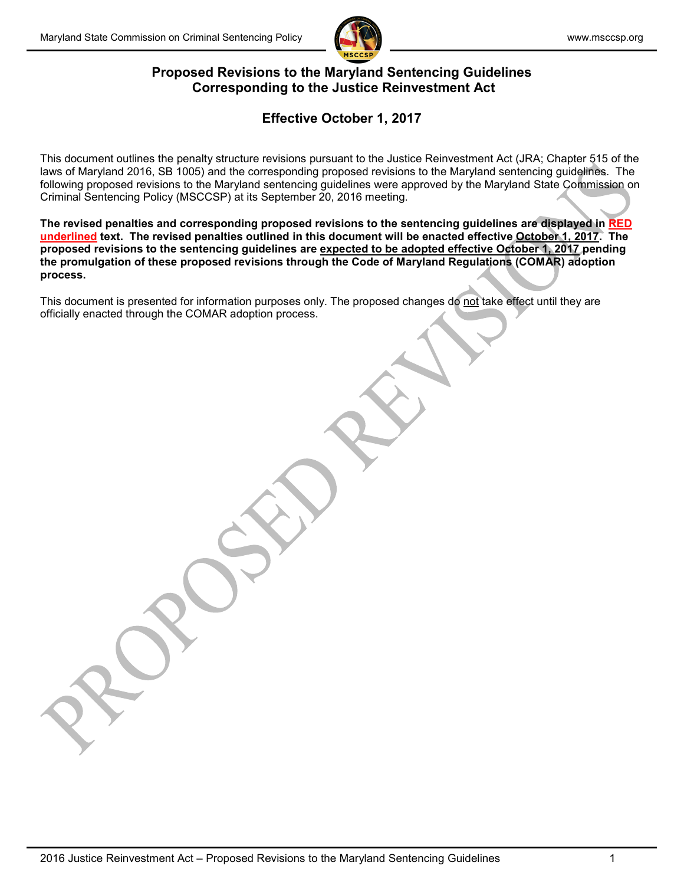

### **Proposed Revisions to the Maryland Sentencing Guidelines Corresponding to the Justice Reinvestment Act**

# **Effective October 1, 2017**

This document outlines the penalty structure revisions pursuant to the Justice Reinvestment Act (JRA; Chapter 515 of the laws of Maryland 2016, SB 1005) and the corresponding proposed revisions to the Maryland sentencing guidelines. The following proposed revisions to the Maryland sentencing guidelines were approved by the Maryland State Commission on Criminal Sentencing Policy (MSCCSP) at its September 20, 2016 meeting.

**The revised penalties and corresponding proposed revisions to the sentencing guidelines are displayed in RED underlined text. The revised penalties outlined in this document will be enacted effective October 1, 2017. The proposed revisions to the sentencing guidelines are expected to be adopted effective October 1, 2017 pending the promulgation of these proposed revisions through the Code of Maryland Regulations (COMAR) adoption process.** 

This document is presented for information purposes only. The proposed changes do not take effect until they are officially enacted through the COMAR adoption process.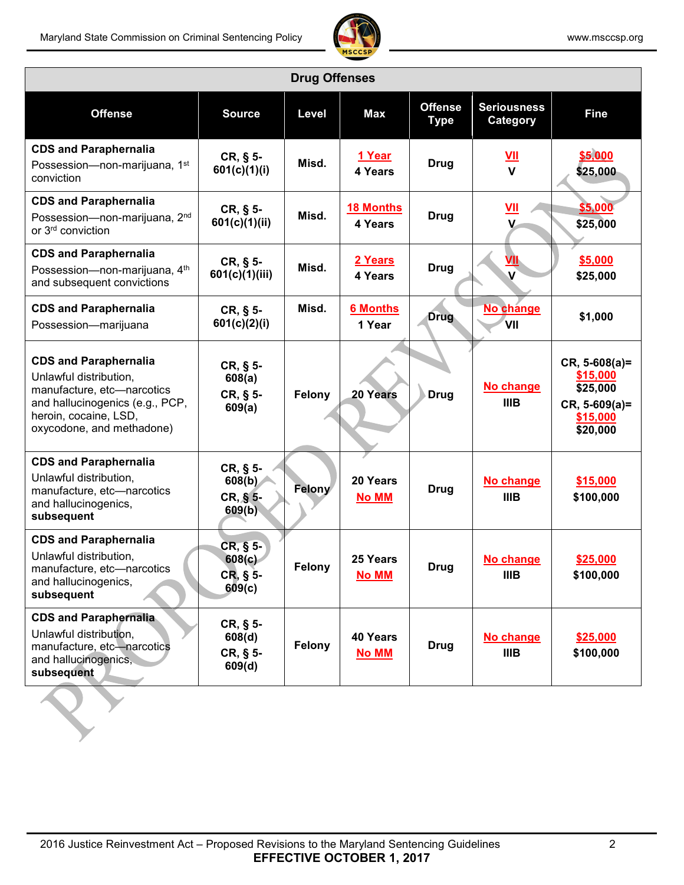

| <b>Drug Offenses</b>                                                                                                                                                          |                                              |               |                             |                               |                                            |                                                                                      |  |  |  |
|-------------------------------------------------------------------------------------------------------------------------------------------------------------------------------|----------------------------------------------|---------------|-----------------------------|-------------------------------|--------------------------------------------|--------------------------------------------------------------------------------------|--|--|--|
| <b>Offense</b>                                                                                                                                                                | <b>Source</b>                                | Level         | <b>Max</b>                  | <b>Offense</b><br><b>Type</b> | <b>Seriousness</b><br>Category             | <b>Fine</b>                                                                          |  |  |  |
| <b>CDS and Paraphernalia</b><br>Possession-non-marijuana, 1st<br>conviction                                                                                                   | CR, § 5-<br>601(c)(1)(i)                     | Misd.         | 1 Year<br>4 Years           | <b>Drug</b>                   | VII<br>$\mathbf{V}$                        | \$5,000<br>\$25,000                                                                  |  |  |  |
| <b>CDS and Paraphernalia</b><br>Possession-non-marijuana, 2nd<br>or 3rd conviction                                                                                            | CR, § 5-<br>601(c)(1)(ii)                    | Misd.         | <b>18 Months</b><br>4 Years | <b>Drug</b>                   | $\underline{\mathsf{VII}}$<br>$\mathbf{V}$ | \$5,000<br>\$25,000                                                                  |  |  |  |
| <b>CDS and Paraphernalia</b><br>Possession-non-marijuana, 4th<br>and subsequent convictions                                                                                   | $CR, § 5-$<br>601(c)(1)(iii)                 | Misd.         | 2 Years<br>4 Years          | <b>Drug</b>                   | VII<br>$\mathbf v$                         | \$5,000<br>\$25,000                                                                  |  |  |  |
| <b>CDS and Paraphernalia</b><br>Possession-marijuana                                                                                                                          | CR, § 5-<br>601(c)(2)(i)                     | Misd.         | <b>6 Months</b><br>1 Year   | <b>Drug</b>                   | No change<br>VII                           | \$1,000                                                                              |  |  |  |
| <b>CDS and Paraphernalia</b><br>Unlawful distribution,<br>manufacture, etc-narcotics<br>and hallucinogenics (e.g., PCP,<br>heroin, cocaine, LSD,<br>oxycodone, and methadone) | $CR, § 5-$<br>608(a)<br>$CR, § 5-$<br>609(a) | Felony        | 20 Years                    | <b>Drug</b>                   | No change<br><b>IIIB</b>                   | $CR, 5-608(a) =$<br>\$15,000<br>\$25,000<br>$CR, 5-609(a) =$<br>\$15,000<br>\$20,000 |  |  |  |
| <b>CDS and Paraphernalia</b><br>Unlawful distribution,<br>manufacture, etc-narcotics<br>and hallucinogenics,<br>subsequent                                                    | CR, § 5-<br>608(b)<br>CR, § 5-<br>609(b)     | Felony        | 20 Years<br><b>No MM</b>    | <b>Drug</b>                   | No change<br><b>IIIB</b>                   | \$15,000<br>\$100,000                                                                |  |  |  |
| <b>CDS and Paraphernalia</b><br>Unlawful distribution,<br>manufacture, etc-narcotics<br>and hallucinogenics,<br>subsequent                                                    | CR, § 5-<br>608(c)<br>$CR, § 5-$<br>609(c)   | <b>Felony</b> | 25 Years<br>No MM           | Drug                          | No change<br><b>IIIB</b>                   | \$25,000<br>\$100,000                                                                |  |  |  |
| <b>CDS and Paraphernalia</b><br>Unlawful distribution,<br>manufacture, etc-narcotics<br>and hallucinogenics,<br>subsequent                                                    | $CR, § 5-$<br>608(d)<br>CR, § 5-<br>609(d)   | Felony        | 40 Years<br><b>No MM</b>    | <b>Drug</b>                   | No change<br>IIIB                          | \$25,000<br>\$100,000                                                                |  |  |  |
|                                                                                                                                                                               |                                              |               |                             |                               |                                            |                                                                                      |  |  |  |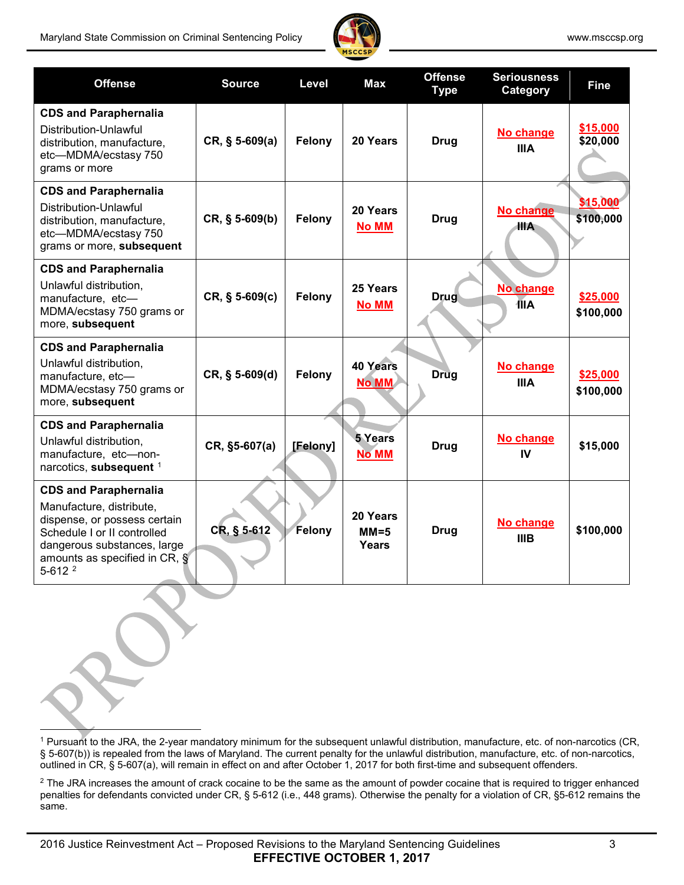

| <b>Offense</b>                                                                                                                                                                                                  | <b>Source</b>    | Level    | <b>Max</b>                      | <b>Offense</b><br><b>Type</b> | <b>Seriousness</b><br>Category | <b>Fine</b>           |
|-----------------------------------------------------------------------------------------------------------------------------------------------------------------------------------------------------------------|------------------|----------|---------------------------------|-------------------------------|--------------------------------|-----------------------|
| <b>CDS and Paraphernalia</b><br>Distribution-Unlawful<br>distribution, manufacture,<br>etc-MDMA/ecstasy 750<br>grams or more                                                                                    | $CR, § 5-609(a)$ | Felony   | 20 Years                        | <b>Drug</b>                   | No change<br><b>IIIA</b>       | \$15,000<br>\$20,000  |
| <b>CDS and Paraphernalia</b><br>Distribution-Unlawful<br>distribution, manufacture,<br>etc-MDMA/ecstasy 750<br>grams or more, subsequent                                                                        | $CR, § 5-609(b)$ | Felony   | 20 Years<br><b>No MM</b>        | <b>Drug</b>                   | No change<br>IIIA.             | \$15,000<br>\$100,000 |
| <b>CDS and Paraphernalia</b><br>Unlawful distribution,<br>manufacture, etc-<br>MDMA/ecstasy 750 grams or<br>more, subsequent                                                                                    | $CR, § 5-609(c)$ | Felony   | 25 Years<br><b>No MM</b>        | <b>Drug</b>                   | No change<br><b>TIA</b>        | \$25,000<br>\$100,000 |
| <b>CDS and Paraphernalia</b><br>Unlawful distribution,<br>manufacture, etc-<br>MDMA/ecstasy 750 grams or<br>more, subsequent                                                                                    | CR, § 5-609(d)   | Felony   | <b>40 Years</b><br><b>No MM</b> | <b>Drug</b>                   | No change<br><b>IIIA</b>       | \$25,000<br>\$100,000 |
| <b>CDS and Paraphernalia</b><br>Unlawful distribution,<br>manufacture, etc-non-<br>narcotics, subsequent 1                                                                                                      | CR, §5-607(a)    | [Felony] | <b>5 Years</b><br><b>No MM</b>  | <b>Drug</b>                   | No change<br>IV                | \$15,000              |
| <b>CDS and Paraphernalia</b><br>Manufacture, distribute,<br>dispense, or possess certain<br>Schedule I or II controlled<br>dangerous substances, large<br>amounts as specified in CR, §<br>$5-612$ <sup>2</sup> | CR, § 5-612      | Felony   | 20 Years<br>$MM=5$<br>Years     | <b>Drug</b>                   | No change<br><b>IIIB</b>       | \$100,000             |

<span id="page-2-0"></span><sup>1</sup> Pursuant to the JRA, the 2-year mandatory minimum for the subsequent unlawful distribution, manufacture, etc. of non-narcotics (CR, § 5-607(b)) is repealed from the laws of Maryland. The current penalty for the unlawful distribution, manufacture, etc. of non-narcotics, outlined in CR, § 5-607(a), will remain in effect on and after October 1, 2017 for both first-time and subsequent offenders.

<span id="page-2-1"></span><sup>2</sup> The JRA increases the amount of crack cocaine to be the same as the amount of powder cocaine that is required to trigger enhanced penalties for defendants convicted under CR, § 5-612 (i.e., 448 grams). Otherwise the penalty for a violation of CR, §5-612 remains the same.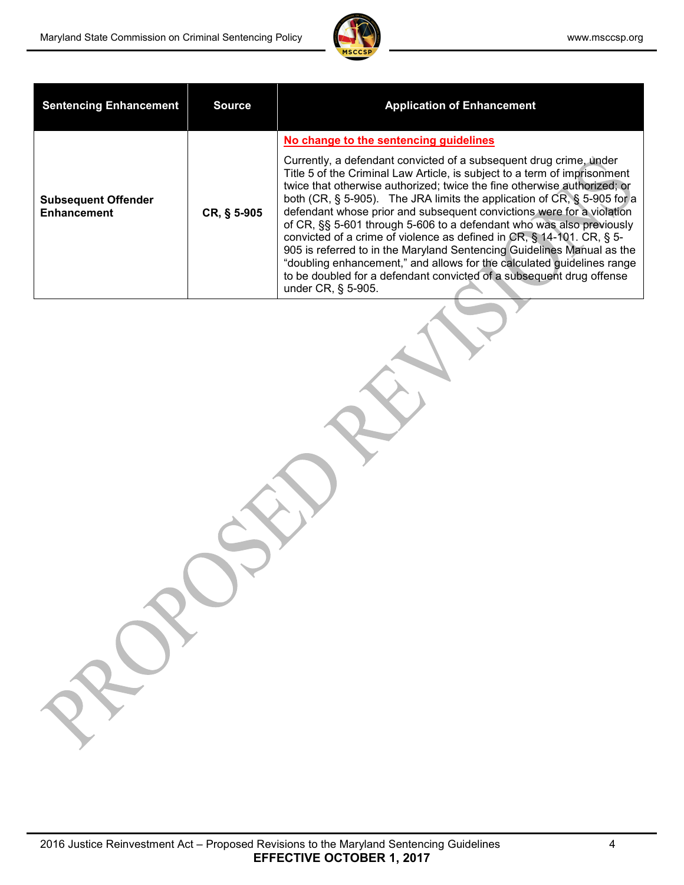

| <b>Sentencing Enhancement</b>                    | <b>Source</b> | <b>Application of Enhancement</b>                                                                                                                                                                                                                                                                                                                                                                                                                                                                                                                                                                                                                                                                                                                                                                                                  |
|--------------------------------------------------|---------------|------------------------------------------------------------------------------------------------------------------------------------------------------------------------------------------------------------------------------------------------------------------------------------------------------------------------------------------------------------------------------------------------------------------------------------------------------------------------------------------------------------------------------------------------------------------------------------------------------------------------------------------------------------------------------------------------------------------------------------------------------------------------------------------------------------------------------------|
| <b>Subsequent Offender</b><br><b>Enhancement</b> | CR, § 5-905   | No change to the sentencing guidelines<br>Currently, a defendant convicted of a subsequent drug crime, under<br>Title 5 of the Criminal Law Article, is subject to a term of imprisonment<br>twice that otherwise authorized; twice the fine otherwise authorized; or<br>both (CR, $\S$ 5-905). The JRA limits the application of CR, $\S$ 5-905 for a<br>defendant whose prior and subsequent convictions were for a violation<br>of CR, §§ 5-601 through 5-606 to a defendant who was also previously<br>convicted of a crime of violence as defined in CR, § 14-101. CR, § 5-<br>905 is referred to in the Maryland Sentencing Guidelines Manual as the<br>"doubling enhancement," and allows for the calculated guidelines range<br>to be doubled for a defendant convicted of a subsequent drug offense<br>under CR, § 5-905. |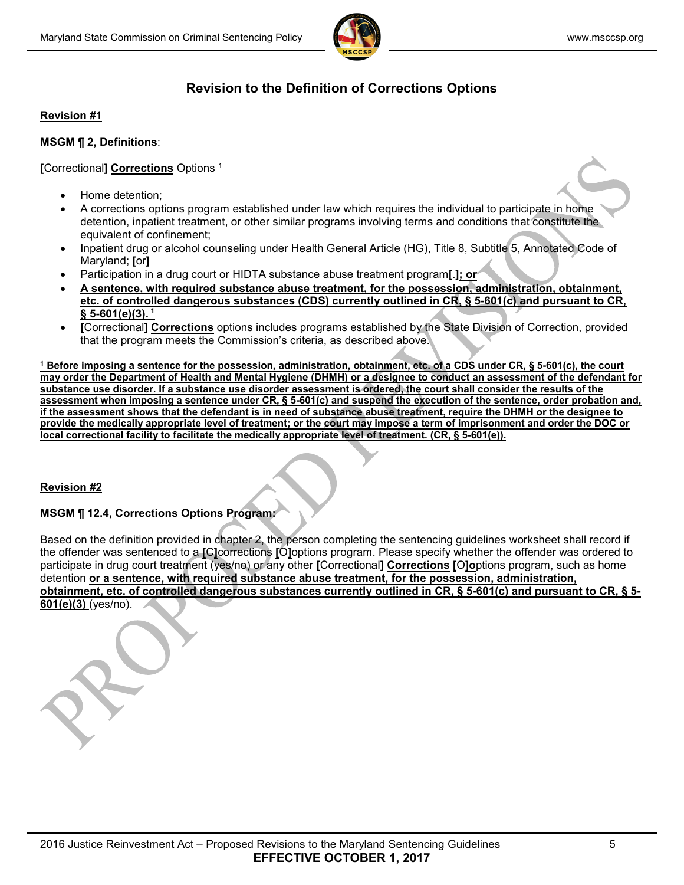

# **Revision to the Definition of Corrections Options**

#### **Revision #1**

#### **MSGM ¶ 2, Definitions**:

**[**Correctional**] Corrections** Options <sup>1</sup>

- Home detention;
- A corrections options program established under law which requires the individual to participate in home detention, inpatient treatment, or other similar programs involving terms and conditions that constitute the equivalent of confinement;
- Inpatient drug or alcohol counseling under Health General Article (HG), Title 8, Subtitle 5, Annotated Code of Maryland; **[**or**]**
- Participation in a drug court or HIDTA substance abuse treatment program**[**.**]; or**
- **A sentence, with required substance abuse treatment, for the possession, administration, obtainment, etc. of controlled dangerous substances (CDS) currently outlined in CR, § 5-601(c) and pursuant to CR, § 5-601(e)(3). 1**
- **[**Correctional**] Corrections** options includes programs established by the State Division of Correction, provided that the program meets the Commission's criteria, as described above.

**<sup>1</sup> Before imposing a sentence for the possession, administration, obtainment, etc. of a CDS under CR, § 5-601(c), the court may order the Department of Health and Mental Hygiene (DHMH) or a designee to conduct an assessment of the defendant for substance use disorder. If a substance use disorder assessment is ordered, the court shall consider the results of the assessment when imposing a sentence under CR, § 5-601(c) and suspend the execution of the sentence, order probation and, if the assessment shows that the defendant is in need of substance abuse treatment, require the DHMH or the designee to provide the medically appropriate level of treatment; or the court may impose a term of imprisonment and order the DOC or local correctional facility to facilitate the medically appropriate level of treatment. (CR, § 5-601(e)).** 

#### **Revision #2**

### **MSGM ¶ 12.4, Corrections Options Program:**

Based on the definition provided in chapter 2, the person completing the sentencing guidelines worksheet shall record if the offender was sentenced to a **[**C**]**corrections **[**O**]**options program. Please specify whether the offender was ordered to participate in drug court treatment (yes/no) or any other **[**Correctional**] Corrections [**O**]o**ptions program, such as home detention **or a sentence, with required substance abuse treatment, for the possession, administration, obtainment, etc. of controlled dangerous substances currently outlined in CR, § 5-601(c) and pursuant to CR, § 5- 601(e)(3)** (yes/no).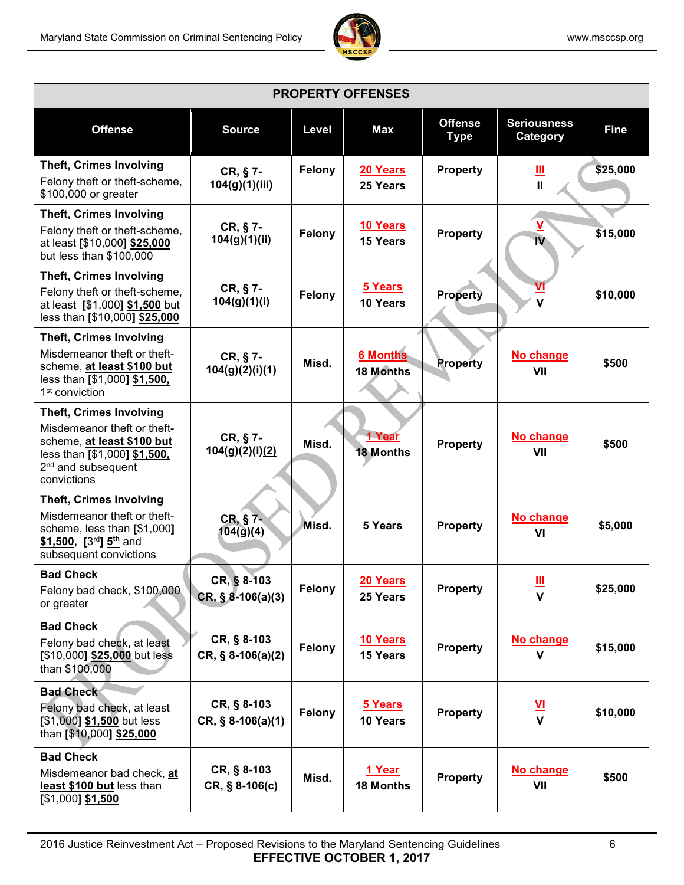

| <b>PROPERTY OFFENSES</b>                                                                                                                                                     |                                    |        |                              |                               |                                |             |  |  |  |  |
|------------------------------------------------------------------------------------------------------------------------------------------------------------------------------|------------------------------------|--------|------------------------------|-------------------------------|--------------------------------|-------------|--|--|--|--|
| <b>Offense</b>                                                                                                                                                               | <b>Source</b>                      | Level  | Max                          | <b>Offense</b><br><b>Type</b> | <b>Seriousness</b><br>Category | <b>Fine</b> |  |  |  |  |
| <b>Theft, Crimes Involving</b><br>Felony theft or theft-scheme,<br>\$100,000 or greater                                                                                      | CR, § 7-<br>104(g)(1)(iii)         | Felony | 20 Years<br>25 Years         | Property                      | <u>Ш</u><br>$\mathbf{I}$       | \$25,000    |  |  |  |  |
| <b>Theft, Crimes Involving</b><br>Felony theft or theft-scheme,<br>at least [\$10,000] \$25,000<br>but less than \$100,000                                                   | CR, § 7-<br>104(g)(1)(ii)          | Felony | 10 Years<br>15 Years         | <b>Property</b>               | V<br>IV                        | \$15,000    |  |  |  |  |
| <b>Theft, Crimes Involving</b><br>Felony theft or theft-scheme,<br>at least [\$1,000] \$1,500 but<br>less than [\$10,000] \$25,000                                           | CR, § 7-<br>104(g)(1)(i)           | Felony | 5 Years<br>10 Years          | <b>Property</b>               | V                              | \$10,000    |  |  |  |  |
| <b>Theft, Crimes Involving</b><br>Misdemeanor theft or theft-<br>scheme, at least \$100 but<br>less than [\$1,000] \$1,500,<br>1 <sup>st</sup> conviction                    | CR, § 7-<br>104(g)(2)(i)(1)        | Misd.  | <b>6 Months</b><br>18 Months | <b>Property</b>               | No change<br>VII               | \$500       |  |  |  |  |
| <b>Theft, Crimes Involving</b><br>Misdemeanor theft or theft-<br>scheme, at least \$100 but<br>less than [\$1,000] \$1,500,<br>2 <sup>nd</sup> and subsequent<br>convictions | CR, § 7-<br>104(g)(2)(i)(2)        | Misd.  | 1 Year<br><b>18 Months</b>   | <b>Property</b>               | No change<br>VII               | \$500       |  |  |  |  |
| <b>Theft, Crimes Involving</b><br>Misdemeanor theft or theft-<br>scheme, less than [\$1,000]<br>\$1,500, $[3^{rd}]$ 5 <sup>th</sup> and<br>subsequent convictions            | CR, § 7-<br>104(g)(4)              | Misd.  | 5 Years                      | Property                      | No change<br>VI                | \$5,000     |  |  |  |  |
| <b>Bad Check</b><br>Felony bad check, \$100,000<br>or greater                                                                                                                | CR, § 8-103<br>$CR, § 8-106(a)(3)$ | Felony | 20 Years<br>25 Years         | <b>Property</b>               | Щ<br>$\mathbf{V}$              | \$25,000    |  |  |  |  |
| <b>Bad Check</b><br>Felony bad check, at least<br>[\$10,000] \$25,000 but less<br>than \$100,000                                                                             | CR, § 8-103<br>$CR, § 8-106(a)(2)$ | Felony | 10 Years<br>15 Years         | <b>Property</b>               | No change<br>$\mathbf v$       | \$15,000    |  |  |  |  |
| <b>Bad Check</b><br>Felony bad check, at least<br>$[$1,000]$ \$1,500 but less<br>than [\$10,000] \$25,000                                                                    | CR, § 8-103<br>$CR, § 8-106(a)(1)$ | Felony | 5 Years<br>10 Years          | <b>Property</b>               | $\frac{v}{v}$                  | \$10,000    |  |  |  |  |
| <b>Bad Check</b><br>Misdemeanor bad check, at<br>least \$100 but less than<br>$[$1,000]$ \$1,500                                                                             | CR, § 8-103<br>$CR, § 8-106(c)$    | Misd.  | 1 Year<br><b>18 Months</b>   | Property                      | No change<br>VII               | \$500       |  |  |  |  |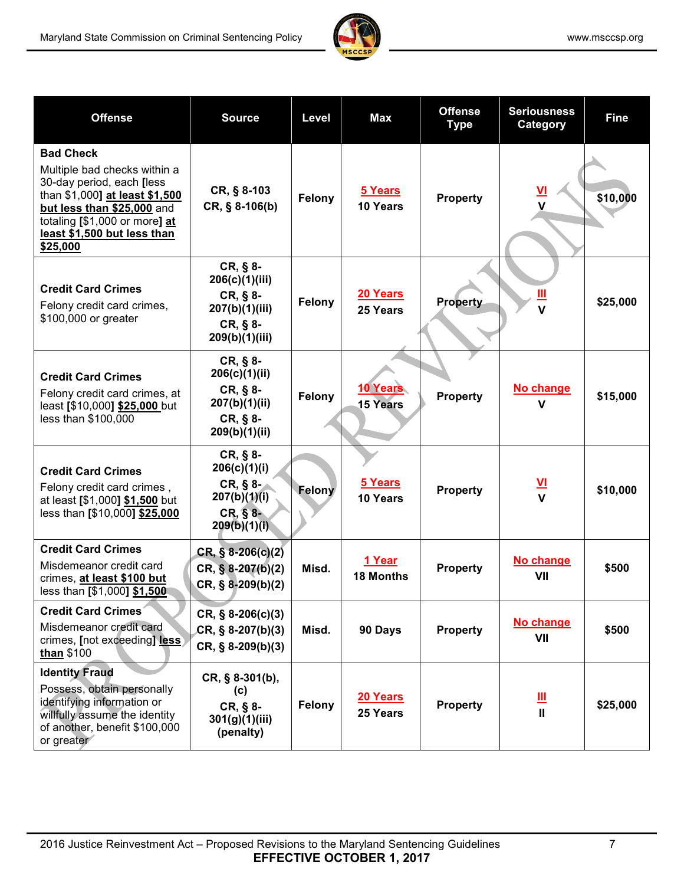

| <b>Offense</b>                                                                                                                                                                                                            | <b>Source</b>                                                                            | Level  | Max                         | <b>Offense</b><br><b>Type</b> | <b>Seriousness</b><br>Category          | <b>Fine</b> |
|---------------------------------------------------------------------------------------------------------------------------------------------------------------------------------------------------------------------------|------------------------------------------------------------------------------------------|--------|-----------------------------|-------------------------------|-----------------------------------------|-------------|
| <b>Bad Check</b><br>Multiple bad checks within a<br>30-day period, each [less<br>than \$1,000] at least \$1,500<br>but less than \$25,000 and<br>totaling [\$1,000 or more] at<br>least \$1,500 but less than<br>\$25,000 | CR, § 8-103<br>CR, § 8-106(b)                                                            | Felony | 5 Years<br>10 Years         | <b>Property</b>               | $\underline{\mathsf{v}}$<br>$\mathbf v$ | \$10,000    |
| <b>Credit Card Crimes</b><br>Felony credit card crimes,<br>\$100,000 or greater                                                                                                                                           | $CR, § 8-$<br>206(c)(1)(iii)<br>CR, § 8-<br>207(b)(1)(iii)<br>CR, § 8-<br>209(b)(1)(iii) | Felony | 20 Years<br>25 Years        | <b>Property</b>               | <u>Ш</u><br>$\mathbf v$                 | \$25,000    |
| <b>Credit Card Crimes</b><br>Felony credit card crimes, at<br>least [\$10,000] \$25,000 but<br>less than \$100,000                                                                                                        | $CR, § 8-$<br>206(c)(1)(ii)<br>CR, § 8-<br>207(b)(1)(ii)<br>CR, § 8-<br>209(b)(1)(ii)    | Felony | 10 Years<br><b>15 Years</b> | <b>Property</b>               | No change<br>V                          | \$15,000    |
| <b>Credit Card Crimes</b><br>Felony credit card crimes,<br>at least [\$1,000] \$1,500 but<br>less than [\$10,000] \$25,000                                                                                                | $CR, § 8-$<br>206(c)(1)(i)<br>CR, § 8-<br>207(b)(1)(i)<br>CR, § 8-<br>209(b)(1)(i)       | Felony | 5 Years<br>10 Years         | <b>Property</b>               | $\frac{VI}{V}$                          | \$10,000    |
| <b>Credit Card Crimes</b><br>Misdemeanor credit card<br>crimes, at least \$100 but<br>less than [\$1,000] \$1,500                                                                                                         | $CR, § 8-206(c)(2)$<br>$CR, § 8-207(b)(2)$<br>CR, § 8-209(b)(2)                          | Misd.  | 1 Year<br><b>18 Months</b>  | <b>Property</b>               | No change<br>VII                        | \$500       |
| <b>Credit Card Crimes</b><br>Misdemeanor credit card<br>crimes, [not exceeding] less<br>than \$100                                                                                                                        | $CR, \S$ 8-206(c)(3)<br>$CR, § 8-207(b)(3)$<br>$CR, § 8-209(b)(3)$                       | Misd.  | 90 Days                     | Property                      | No change<br>VII                        | \$500       |
| <b>Identity Fraud</b><br>Possess, obtain personally<br>identifying information or<br>willfully assume the identity<br>of another, benefit \$100,000<br>or greater                                                         | CR, § 8-301(b),<br>(c)<br>CR, § 8-<br>301(g)(1)(iii)<br>(penalty)                        | Felony | 20 Years<br>25 Years        | <b>Property</b>               | Щ<br>$\mathbf{II}$                      | \$25,000    |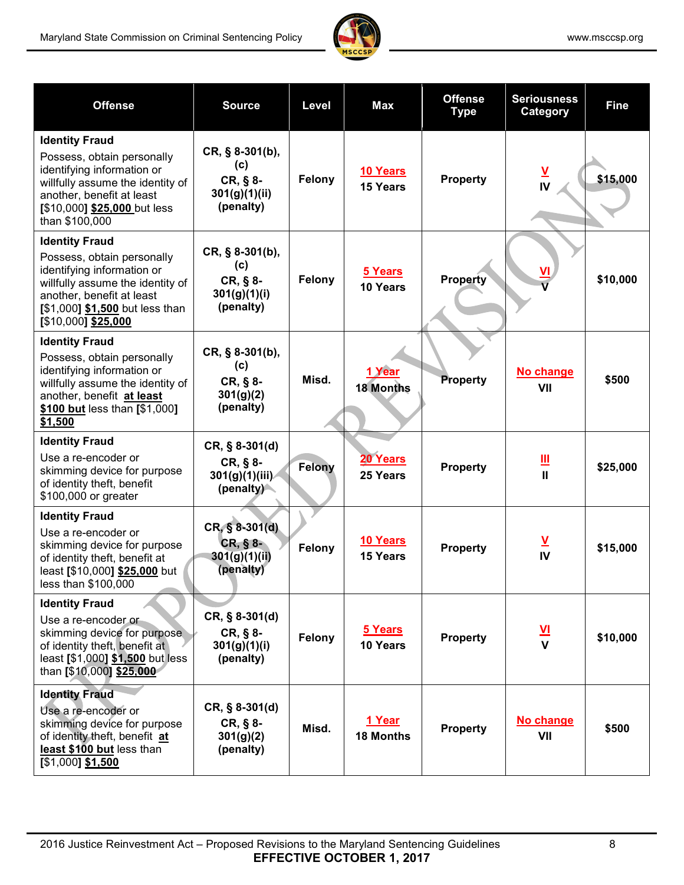

| <b>Offense</b>                                                                                                                                                                                               | <b>Source</b>                                                      | Level         | <b>Max</b>                  | <b>Offense</b><br><b>Type</b> | <b>Seriousness</b><br>Category                      | <b>Fine</b> |
|--------------------------------------------------------------------------------------------------------------------------------------------------------------------------------------------------------------|--------------------------------------------------------------------|---------------|-----------------------------|-------------------------------|-----------------------------------------------------|-------------|
| <b>Identity Fraud</b><br>Possess, obtain personally<br>identifying information or<br>willfully assume the identity of<br>another, benefit at least<br>[\$10,000] \$25,000 but less<br>than \$100,000         | CR, § 8-301(b),<br>(c)<br>$CR, § 8-$<br>301(g)(1)(ii)<br>(penalty) | Felony        | 10 Years<br>15 Years        | <b>Property</b>               | $\frac{V}{V}$                                       | \$15,000    |
| <b>Identity Fraud</b><br>Possess, obtain personally<br>identifying information or<br>willfully assume the identity of<br>another, benefit at least<br>[\$1,000] \$1,500 but less than<br>[\$10,000] \$25,000 | CR, § 8-301(b),<br>(c)<br>CR, § 8-<br>301(g)(1)(i)<br>(penalty)    | Felony        | 5 Years<br>10 Years         | <b>Property</b>               |                                                     | \$10,000    |
| <b>Identity Fraud</b><br>Possess, obtain personally<br>identifying information or<br>willfully assume the identity of<br>another, benefit at least<br>\$100 but less than [\$1,000]<br>\$1,500               | CR, § 8-301(b),<br>(c)<br>$CR, § 8-$<br>301(g)(2)<br>(penalty)     | Misd.         | 1 Year<br><b>18 Months</b>  | Property                      | No change<br>VII                                    | \$500       |
| <b>Identity Fraud</b><br>Use a re-encoder or<br>skimming device for purpose<br>of identity theft, benefit<br>\$100,000 or greater                                                                            | $CR, § 8-301(d)$<br>CR, § 8-<br>301(g)(1)(iii)<br>$(p$ enalty)     | <b>Felony</b> | 20 Years<br>25 Years        | <b>Property</b>               | $\mathbf{\underline{\mathsf{III}}}$<br>$\mathbf{I}$ | \$25,000    |
| <b>Identity Fraud</b><br>Use a re-encoder or<br>skimming device for purpose<br>of identity theft, benefit at<br>least [\$10,000] \$25,000 but<br>less than \$100,000                                         | CR, § 8-301(d)<br>$CR, § 8-$<br>301(g)(1)(ii)<br>(penalty)         | Felony        | 10 Years<br><b>15 Years</b> | <b>Property</b>               | $\overline{\mathbf{v}}$<br>IV                       | \$15,000    |
| <b>Identity Fraud</b><br>Use a re-encoder or<br>skimming device for purpose<br>of identity theft, benefit at<br>least [\$1,000] \$1,500 but less<br>than [\$10,000] \$25,000                                 | $CR, § 8-301(d)$<br>CR, § 8-<br>301(g)(1)(i)<br>(penalty)          | Felony        | 5 Years<br>10 Years         | <b>Property</b>               | <u>VI</u><br>$\mathbf{V}$                           | \$10,000    |
| <b>Identity Fraud</b><br>Use a re-encoder or<br>skimming device for purpose<br>of identity theft, benefit at<br>least \$100 but less than<br>$[$1,000]$ \$1,500                                              | $CR, § 8-301(d)$<br>$CR, § 8-$<br>301(g)(2)<br>(penalty)           | Misd.         | 1 Year<br><b>18 Months</b>  | <b>Property</b>               | No change<br>VII                                    | \$500       |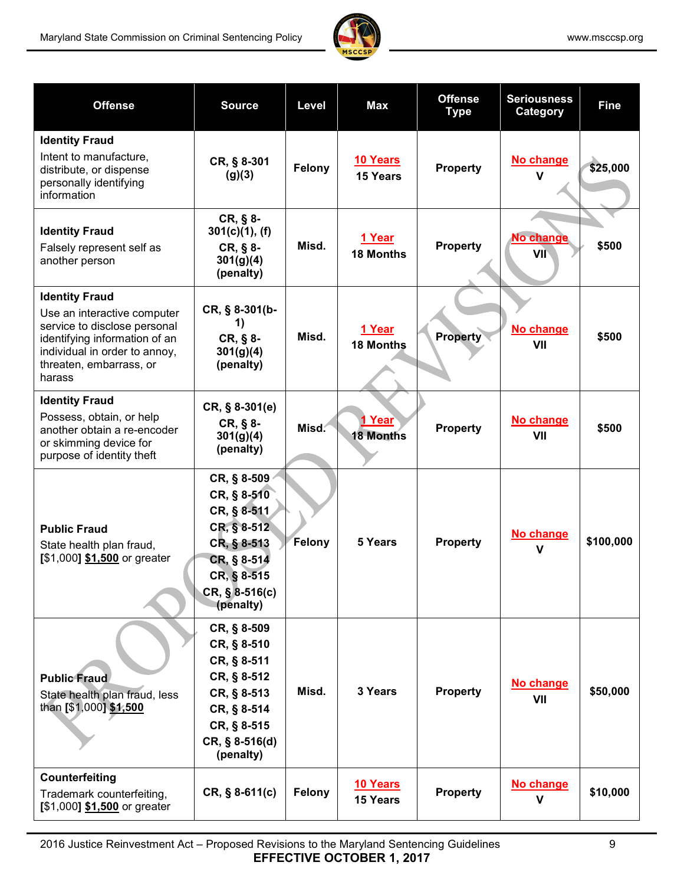

| <b>Offense</b>                                                                                                                                                                              | <b>Source</b>                                                                                                                          | Level  | Max                               | <b>Offense</b><br><b>Type</b> | <b>Seriousness</b><br>Category | <b>Fine</b> |
|---------------------------------------------------------------------------------------------------------------------------------------------------------------------------------------------|----------------------------------------------------------------------------------------------------------------------------------------|--------|-----------------------------------|-------------------------------|--------------------------------|-------------|
| <b>Identity Fraud</b><br>Intent to manufacture,<br>distribute, or dispense<br>personally identifying<br>information                                                                         | CR, § 8-301<br>(g)(3)                                                                                                                  | Felony | 10 Years<br><b>15 Years</b>       | <b>Property</b>               | No change<br>$\mathbf v$       | \$25,000    |
| <b>Identity Fraud</b><br>Falsely represent self as<br>another person                                                                                                                        | CR, § 8-<br>301(c)(1), (f)<br>CR, § 8-<br>301(g)(4)<br>(penalty)                                                                       | Misd.  | 1 Year<br><b>18 Months</b>        | <b>Property</b>               | No change<br>VII               | \$500       |
| <b>Identity Fraud</b><br>Use an interactive computer<br>service to disclose personal<br>identifying information of an<br>individual in order to annoy,<br>threaten, embarrass, or<br>harass | CR, § 8-301(b-<br>1)<br>CR, § 8-<br>301(g)(4)<br>(penalty)                                                                             | Misd.  | 1 Year<br><b>18 Months</b>        | <b>Property</b>               | No change<br>VII               | \$500       |
| <b>Identity Fraud</b><br>Possess, obtain, or help<br>another obtain a re-encoder<br>or skimming device for<br>purpose of identity theft                                                     | $CR, § 8-301(e)$<br>CR, § 8-<br>301(g)(4)<br>(penalty)                                                                                 | Misd.  | <u>1 Year</u><br><b>18 Months</b> | <b>Property</b>               | No change<br>VII               | \$500       |
| <b>Public Fraud</b><br>State health plan fraud,<br>$[$1,000]$ \$1,500 or greater                                                                                                            | CR, § 8-509<br>CR, § 8-510<br>CR, § 8-511<br>CR, § 8-512<br>CR, § 8-513<br>CR, § 8-514<br>CR, § 8-515<br>$CR, § 8-516(c)$<br>(penalty) | Felony | 5 Years                           | <b>Property</b>               | No change<br>$\mathbf v$       | \$100,000   |
| <b>Public Fraud</b><br>State health plan fraud, less<br>than [\$1,000] \$1,500                                                                                                              | CR, § 8-509<br>CR, § 8-510<br>CR, § 8-511<br>CR, § 8-512<br>CR, § 8-513<br>CR, § 8-514<br>CR, § 8-515<br>CR, § 8-516(d)<br>(penalty)   | Misd.  | 3 Years                           | Property                      | No change<br>VII               | \$50,000    |
| Counterfeiting<br>Trademark counterfeiting,<br>[\$1,000] \$1,500 or greater                                                                                                                 | $CR, § 8-611(c)$                                                                                                                       | Felony | 10 Years<br>15 Years              | <b>Property</b>               | No change<br>$\mathbf v$       | \$10,000    |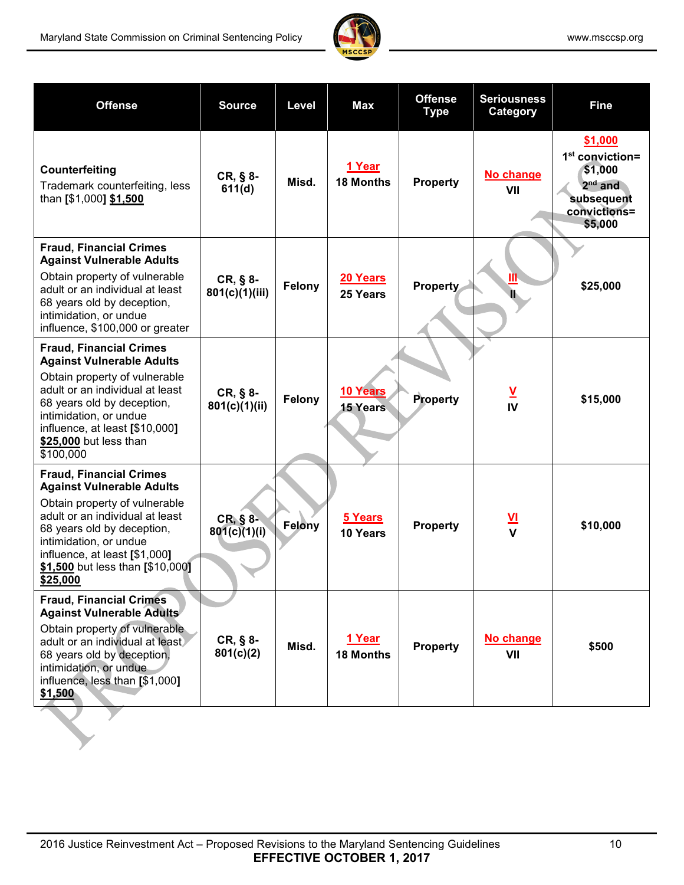

| <b>Offense</b>                                                                                                                                                                                                                                                                  | <b>Source</b>                | Level  | Max                         | <b>Offense</b><br><b>Type</b> |                               | <b>Fine</b>                                                                                   |
|---------------------------------------------------------------------------------------------------------------------------------------------------------------------------------------------------------------------------------------------------------------------------------|------------------------------|--------|-----------------------------|-------------------------------|-------------------------------|-----------------------------------------------------------------------------------------------|
| Counterfeiting<br>Trademark counterfeiting, less<br>than [\$1,000] \$1,500                                                                                                                                                                                                      | $CR, § 8-$<br>611(d)         | Misd.  | 1 Year<br><b>18 Months</b>  | <b>Property</b>               | No change<br>VII              | \$1,000<br>$1st$ conviction=<br>\$1,000<br>$2nd$ and<br>subsequent<br>convictions=<br>\$5,000 |
| <b>Fraud, Financial Crimes</b><br><b>Against Vulnerable Adults</b><br>Obtain property of vulnerable<br>adult or an individual at least<br>68 years old by deception,<br>intimidation, or undue<br>influence, \$100,000 or greater                                               | $CR, § 8-$<br>801(c)(1)(iii) | Felony | 20 Years<br>25 Years        | <b>Property</b>               | ÌТ                            | \$25,000                                                                                      |
| <b>Fraud, Financial Crimes</b><br><b>Against Vulnerable Adults</b><br>Obtain property of vulnerable<br>adult or an individual at least<br>68 years old by deception,<br>intimidation, or undue<br>influence, at least [\$10,000]<br>\$25,000 but less than<br>\$100,000         | CR, § 8-<br>801(c)(1)(ii)    | Felony | 10 Years<br><b>15 Years</b> | Property                      | $\overline{\mathsf{A}}$<br>IV | \$15,000                                                                                      |
| <b>Fraud, Financial Crimes</b><br><b>Against Vulnerable Adults</b><br>Obtain property of vulnerable<br>adult or an individual at least<br>68 years old by deception,<br>intimidation, or undue<br>influence, at least [\$1,000]<br>\$1,500 but less than [\$10,000]<br>\$25,000 | CR, § 8-<br>801(c)(1)(i)     | Felony | 5 Years<br>10 Years         | <b>Property</b>               | $\frac{v}{v}$                 | \$10,000                                                                                      |
| <b>Fraud, Financial Crimes</b><br><b>Against Vulnerable Adults</b><br>Obtain property of vulnerable<br>adult or an individual at least<br>68 years old by deception,<br>intimidation, or undue<br>influence, less than [\$1,000]<br>\$1,500                                     | $CR, § 8-$<br>801(c)(2)      | Misd.  | 1 Year<br><b>18 Months</b>  | <b>Property</b>               | No change<br>VII              | \$500                                                                                         |
|                                                                                                                                                                                                                                                                                 |                              |        |                             |                               |                               |                                                                                               |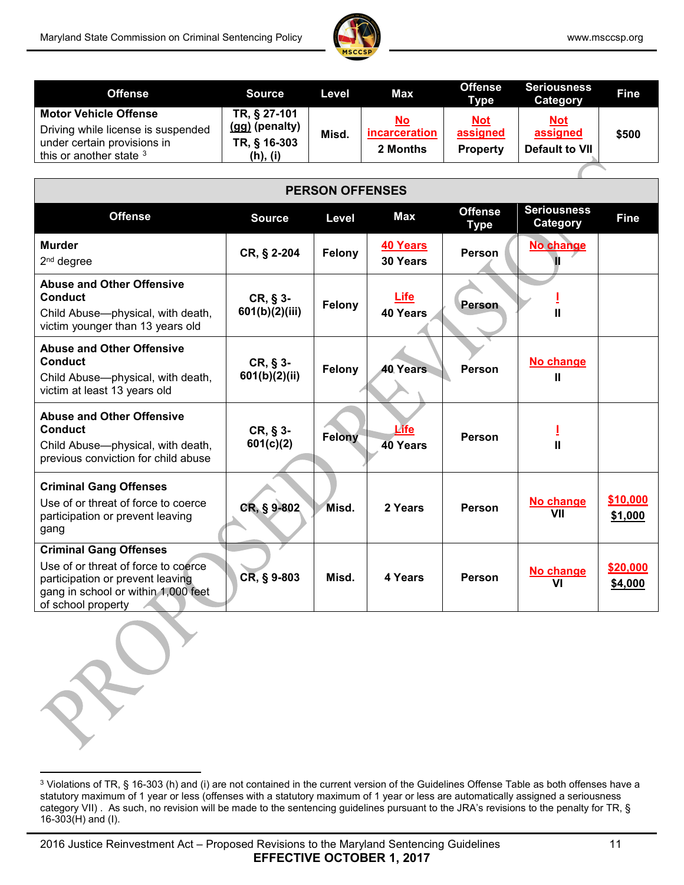

ſ

| <b>Offense</b>                                                                                                               | <b>Source</b>                                              | Level | Max                                    | <b>Offense</b><br>Type                    | <b>Seriousness</b><br>Category                  | <b>Fine</b> |
|------------------------------------------------------------------------------------------------------------------------------|------------------------------------------------------------|-------|----------------------------------------|-------------------------------------------|-------------------------------------------------|-------------|
| <b>Motor Vehicle Offense</b><br>Driving while license is suspended<br>under certain provisions in<br>this or another state 3 | TR, § 27-101<br>(gg) (penalty)<br>TR, § 16-303<br>(h), (i) | Misd. | <u>No</u><br>incarceration<br>2 Months | <u>Not</u><br>assigned<br><b>Property</b> | <u>Not</u><br>assigned<br><b>Default to VII</b> | \$500       |

| <b>PERSON OFFENSES</b>                                                                                                                                                |                              |               |                          |                               |                                |                     |  |  |  |  |
|-----------------------------------------------------------------------------------------------------------------------------------------------------------------------|------------------------------|---------------|--------------------------|-------------------------------|--------------------------------|---------------------|--|--|--|--|
| <b>Offense</b>                                                                                                                                                        | <b>Source</b>                | Level         | Max                      | <b>Offense</b><br><b>Type</b> | <b>Seriousness</b><br>Category | <b>Fine</b>         |  |  |  |  |
| <b>Murder</b><br>2 <sup>nd</sup> degree                                                                                                                               | CR, § 2-204                  | Felony        | 40 Years<br>30 Years     | <b>Person</b>                 | No change                      |                     |  |  |  |  |
| <b>Abuse and Other Offensive</b><br>Conduct<br>Child Abuse-physical, with death,<br>victim younger than 13 years old                                                  | $CR, § 3-$<br>601(b)(2)(iii) | Felony        | <b>Life</b><br>40 Years  | Person                        | $\mathbf{I}$                   |                     |  |  |  |  |
| <b>Abuse and Other Offensive</b><br>Conduct<br>Child Abuse-physical, with death,<br>victim at least 13 years old                                                      | $CR, § 3-$<br>601(b)(2)(ii)  | Felony        | 40 Years                 | Person                        | No change<br>Ш                 |                     |  |  |  |  |
| <b>Abuse and Other Offensive</b><br>Conduct<br>Child Abuse-physical, with death,<br>previous conviction for child abuse                                               | $CR, § 3-$<br>601(c)(2)      | <b>Felony</b> | <u> Life</u><br>40 Years | Person                        | $\mathbf{I}$                   |                     |  |  |  |  |
| <b>Criminal Gang Offenses</b><br>Use of or threat of force to coerce<br>participation or prevent leaving<br>gang                                                      | CR, § 9-802                  | Misd.         | 2 Years                  | Person                        | No change<br>VII               | \$10,000<br>\$1,000 |  |  |  |  |
| <b>Criminal Gang Offenses</b><br>Use of or threat of force to coerce<br>participation or prevent leaving<br>gang in school or within 1,000 feet<br>of school property | $CR, § 9-803$                | Misd.         | 4 Years                  | Person                        | No change<br>VI                | \$20,000<br>\$4,000 |  |  |  |  |

<span id="page-10-0"></span><sup>&</sup>lt;sup>3</sup> Violations of TR, § 16-303 (h) and (i) are not contained in the current version of the Guidelines Offense Table as both offenses have a statutory maximum of 1 year or less (offenses with a statutory maximum of 1 year or less are automatically assigned a seriousness category VII). As such, no revision will be made to the sentencing guidelines pursuant to the JRA's revisions to the penalty for TR, § 16-303(H) and (I).